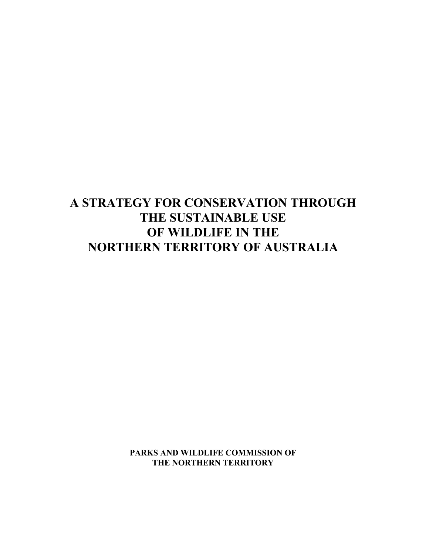# **A STRATEGY FOR CONSERVATION THROUGH THE SUSTAINABLE USE OF WILDLIFE IN THE NORTHERN TERRITORY OF AUSTRALIA**

**PARKS AND WILDLIFE COMMISSION OF THE NORTHERN TERRITORY**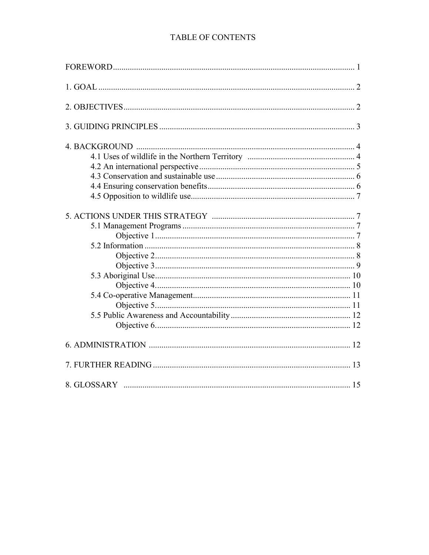# TABLE OF CONTENTS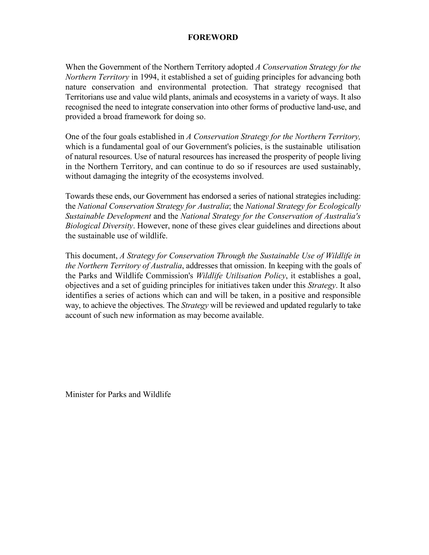# **FOREWORD**

When the Government of the Northern Territory adopted *A Conservation Strategy for the Northern Territory* in 1994, it established a set of guiding principles for advancing both nature conservation and environmental protection. That strategy recognised that Territorians use and value wild plants, animals and ecosystems in a variety of ways. It also recognised the need to integrate conservation into other forms of productive land-use, and provided a broad framework for doing so.

One of the four goals established in *A Conservation Strategy for the Northern Territory,* which is a fundamental goal of our Government's policies, is the sustainable utilisation of natural resources. Use of natural resources has increased the prosperity of people living in the Northern Territory, and can continue to do so if resources are used sustainably, without damaging the integrity of the ecosystems involved.

Towards these ends, our Government has endorsed a series of national strategies including: the *National Conservation Strategy for Australia*; the *National Strategy for Ecologically Sustainable Development* and the *National Strategy for the Conservation of Australia's Biological Diversity*. However, none of these gives clear guidelines and directions about the sustainable use of wildlife.

This document, *A Strategy for Conservation Through the Sustainable Use of Wildlife in the Northern Territory of Australia*, addresses that omission. In keeping with the goals of the Parks and Wildlife Commission's *Wildlife Utilisation Policy*, it establishes a goal, objectives and a set of guiding principles for initiatives taken under this *Strategy*. It also identifies a series of actions which can and will be taken, in a positive and responsible way, to achieve the objectives. The *Strategy* will be reviewed and updated regularly to take account of such new information as may become available.

Minister for Parks and Wildlife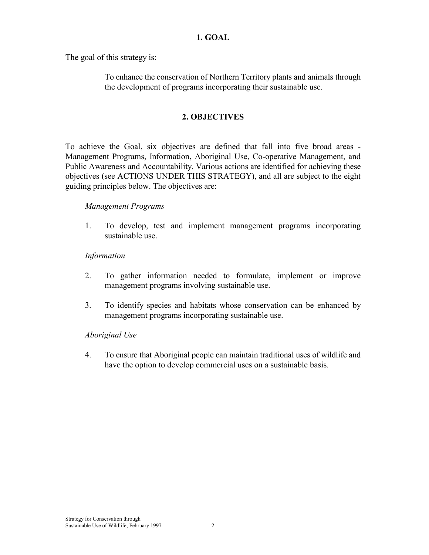#### **1. GOAL**

The goal of this strategy is:

To enhance the conservation of Northern Territory plants and animals through the development of programs incorporating their sustainable use.

## **2. OBJECTIVES**

To achieve the Goal, six objectives are defined that fall into five broad areas - Management Programs, Information, Aboriginal Use, Co-operative Management, and Public Awareness and Accountability. Various actions are identified for achieving these objectives (see ACTIONS UNDER THIS STRATEGY), and all are subject to the eight guiding principles below. The objectives are:

#### *Management Programs*

1. To develop, test and implement management programs incorporating sustainable use.

#### *Information*

- 2. To gather information needed to formulate, implement or improve management programs involving sustainable use.
- 3. To identify species and habitats whose conservation can be enhanced by management programs incorporating sustainable use.

#### *Aboriginal Use*

4. To ensure that Aboriginal people can maintain traditional uses of wildlife and have the option to develop commercial uses on a sustainable basis.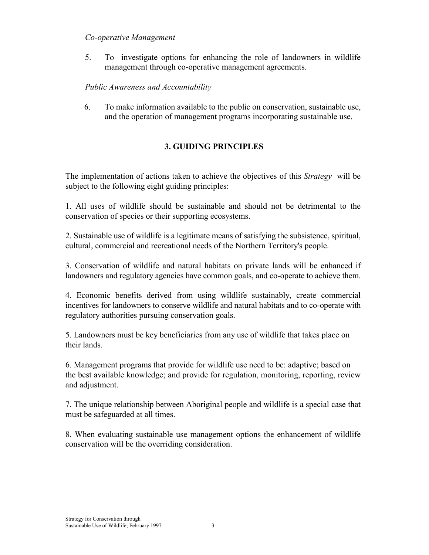### *Co-operative Management*

5. To investigate options for enhancing the role of landowners in wildlife management through co-operative management agreements.

# *Public Awareness and Accountability*

6. To make information available to the public on conservation, sustainable use, and the operation of management programs incorporating sustainable use.

# **3. GUIDING PRINCIPLES**

The implementation of actions taken to achieve the objectives of this *Strategy* will be subject to the following eight guiding principles:

1. All uses of wildlife should be sustainable and should not be detrimental to the conservation of species or their supporting ecosystems.

2. Sustainable use of wildlife is a legitimate means of satisfying the subsistence, spiritual, cultural, commercial and recreational needs of the Northern Territory's people.

3. Conservation of wildlife and natural habitats on private lands will be enhanced if landowners and regulatory agencies have common goals, and co-operate to achieve them.

4. Economic benefits derived from using wildlife sustainably, create commercial incentives for landowners to conserve wildlife and natural habitats and to co-operate with regulatory authorities pursuing conservation goals.

5. Landowners must be key beneficiaries from any use of wildlife that takes place on their lands.

6. Management programs that provide for wildlife use need to be: adaptive; based on the best available knowledge; and provide for regulation, monitoring, reporting, review and adjustment.

7. The unique relationship between Aboriginal people and wildlife is a special case that must be safeguarded at all times.

8. When evaluating sustainable use management options the enhancement of wildlife conservation will be the overriding consideration.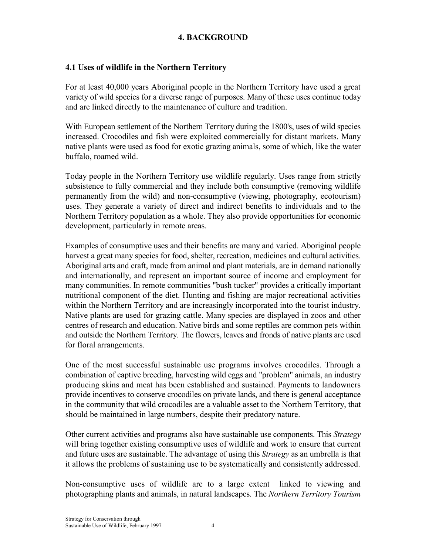# **4. BACKGROUND**

## **4.1 Uses of wildlife in the Northern Territory**

For at least 40,000 years Aboriginal people in the Northern Territory have used a great variety of wild species for a diverse range of purposes. Many of these uses continue today and are linked directly to the maintenance of culture and tradition.

With European settlement of the Northern Territory during the 1800's, uses of wild species increased. Crocodiles and fish were exploited commercially for distant markets. Many native plants were used as food for exotic grazing animals, some of which, like the water buffalo, roamed wild.

Today people in the Northern Territory use wildlife regularly. Uses range from strictly subsistence to fully commercial and they include both consumptive (removing wildlife permanently from the wild) and non-consumptive (viewing, photography, ecotourism) uses. They generate a variety of direct and indirect benefits to individuals and to the Northern Territory population as a whole. They also provide opportunities for economic development, particularly in remote areas.

Examples of consumptive uses and their benefits are many and varied. Aboriginal people harvest a great many species for food, shelter, recreation, medicines and cultural activities. Aboriginal arts and craft, made from animal and plant materials, are in demand nationally and internationally, and represent an important source of income and employment for many communities. In remote communities "bush tucker" provides a critically important nutritional component of the diet. Hunting and fishing are major recreational activities within the Northern Territory and are increasingly incorporated into the tourist industry. Native plants are used for grazing cattle. Many species are displayed in zoos and other centres of research and education. Native birds and some reptiles are common pets within and outside the Northern Territory. The flowers, leaves and fronds of native plants are used for floral arrangements.

One of the most successful sustainable use programs involves crocodiles. Through a combination of captive breeding, harvesting wild eggs and "problem" animals, an industry producing skins and meat has been established and sustained. Payments to landowners provide incentives to conserve crocodiles on private lands, and there is general acceptance in the community that wild crocodiles are a valuable asset to the Northern Territory, that should be maintained in large numbers, despite their predatory nature.

Other current activities and programs also have sustainable use components. This *Strategy* will bring together existing consumptive uses of wildlife and work to ensure that current and future uses are sustainable. The advantage of using this *Strategy* as an umbrella is that it allows the problems of sustaining use to be systematically and consistently addressed.

Non-consumptive uses of wildlife are to a large extent linked to viewing and photographing plants and animals, in natural landscapes. The *Northern Territory Tourism*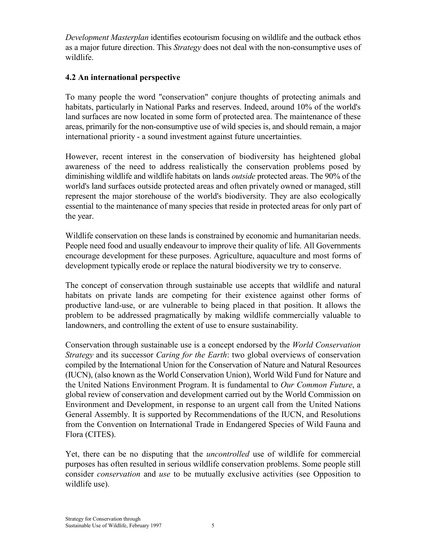*Development Masterplan* identifies ecotourism focusing on wildlife and the outback ethos as a major future direction. This *Strategy* does not deal with the non-consumptive uses of wildlife.

# **4.2 An international perspective**

To many people the word "conservation" conjure thoughts of protecting animals and habitats, particularly in National Parks and reserves. Indeed, around 10% of the world's land surfaces are now located in some form of protected area. The maintenance of these areas, primarily for the non-consumptive use of wild species is, and should remain, a major international priority - a sound investment against future uncertainties.

However, recent interest in the conservation of biodiversity has heightened global awareness of the need to address realistically the conservation problems posed by diminishing wildlife and wildlife habitats on lands *outside* protected areas. The 90% of the world's land surfaces outside protected areas and often privately owned or managed, still represent the major storehouse of the world's biodiversity. They are also ecologically essential to the maintenance of many species that reside in protected areas for only part of the year.

Wildlife conservation on these lands is constrained by economic and humanitarian needs. People need food and usually endeavour to improve their quality of life. All Governments encourage development for these purposes. Agriculture, aquaculture and most forms of development typically erode or replace the natural biodiversity we try to conserve.

The concept of conservation through sustainable use accepts that wildlife and natural habitats on private lands are competing for their existence against other forms of productive land-use, or are vulnerable to being placed in that position. It allows the problem to be addressed pragmatically by making wildlife commercially valuable to landowners, and controlling the extent of use to ensure sustainability.

Conservation through sustainable use is a concept endorsed by the *World Conservation Strategy* and its successor *Caring for the Earth*: two global overviews of conservation compiled by the International Union for the Conservation of Nature and Natural Resources (IUCN), (also known as the World Conservation Union), World Wild Fund for Nature and the United Nations Environment Program. It is fundamental to *Our Common Future*, a global review of conservation and development carried out by the World Commission on Environment and Development, in response to an urgent call from the United Nations General Assembly. It is supported by Recommendations of the IUCN, and Resolutions from the Convention on International Trade in Endangered Species of Wild Fauna and Flora (CITES).

Yet, there can be no disputing that the *uncontrolled* use of wildlife for commercial purposes has often resulted in serious wildlife conservation problems. Some people still consider *conservation* and *use* to be mutually exclusive activities (see Opposition to wildlife use).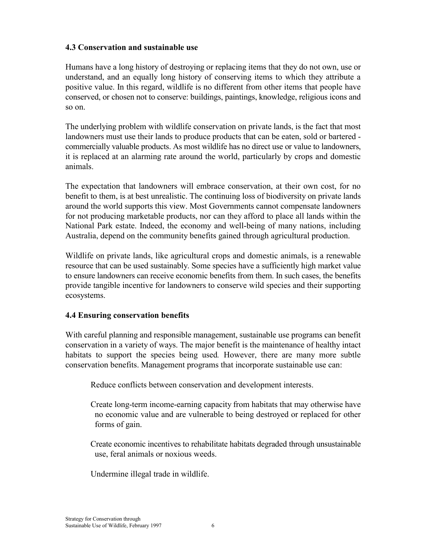## **4.3 Conservation and sustainable use**

Humans have a long history of destroying or replacing items that they do not own, use or understand, and an equally long history of conserving items to which they attribute a positive value. In this regard, wildlife is no different from other items that people have conserved, or chosen not to conserve: buildings, paintings, knowledge, religious icons and so on.

The underlying problem with wildlife conservation on private lands, is the fact that most landowners must use their lands to produce products that can be eaten, sold or bartered commercially valuable products. As most wildlife has no direct use or value to landowners, it is replaced at an alarming rate around the world, particularly by crops and domestic animals.

The expectation that landowners will embrace conservation, at their own cost, for no benefit to them, is at best unrealistic. The continuing loss of biodiversity on private lands around the world supports this view. Most Governments cannot compensate landowners for not producing marketable products, nor can they afford to place all lands within the National Park estate. Indeed, the economy and well-being of many nations, including Australia, depend on the community benefits gained through agricultural production.

Wildlife on private lands, like agricultural crops and domestic animals, is a renewable resource that can be used sustainably. Some species have a sufficiently high market value to ensure landowners can receive economic benefits from them. In such cases, the benefits provide tangible incentive for landowners to conserve wild species and their supporting ecosystems.

#### **4.4 Ensuring conservation benefits**

With careful planning and responsible management, sustainable use programs can benefit conservation in a variety of ways. The major benefit is the maintenance of healthy intact habitats to support the species being used*.* However, there are many more subtle conservation benefits. Management programs that incorporate sustainable use can:

Reduce conflicts between conservation and development interests.

 Create long-term income-earning capacity from habitats that may otherwise have no economic value and are vulnerable to being destroyed or replaced for other forms of gain.

 Create economic incentives to rehabilitate habitats degraded through unsustainable use, feral animals or noxious weeds.

Undermine illegal trade in wildlife.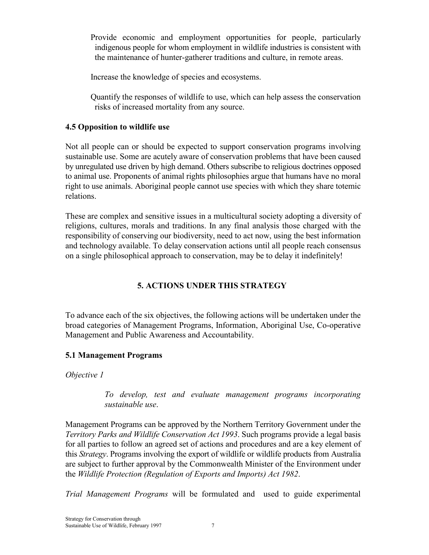Provide economic and employment opportunities for people, particularly indigenous people for whom employment in wildlife industries is consistent with the maintenance of hunter-gatherer traditions and culture, in remote areas.

Increase the knowledge of species and ecosystems.

 Quantify the responses of wildlife to use, which can help assess the conservation risks of increased mortality from any source.

# **4.5 Opposition to wildlife use**

Not all people can or should be expected to support conservation programs involving sustainable use. Some are acutely aware of conservation problems that have been caused by unregulated use driven by high demand. Others subscribe to religious doctrines opposed to animal use. Proponents of animal rights philosophies argue that humans have no moral right to use animals. Aboriginal people cannot use species with which they share totemic relations.

These are complex and sensitive issues in a multicultural society adopting a diversity of religions, cultures, morals and traditions. In any final analysis those charged with the responsibility of conserving our biodiversity, need to act now, using the best information and technology available. To delay conservation actions until all people reach consensus on a single philosophical approach to conservation, may be to delay it indefinitely!

# **5. ACTIONS UNDER THIS STRATEGY**

To advance each of the six objectives, the following actions will be undertaken under the broad categories of Management Programs, Information, Aboriginal Use, Co-operative Management and Public Awareness and Accountability.

# **5.1 Management Programs**

*Objective 1*

*To develop, test and evaluate management programs incorporating sustainable use*.

Management Programs can be approved by the Northern Territory Government under the *Territory Parks and Wildlife Conservation Act 1993*. Such programs provide a legal basis for all parties to follow an agreed set of actions and procedures and are a key element of this *Strategy*. Programs involving the export of wildlife or wildlife products from Australia are subject to further approval by the Commonwealth Minister of the Environment under the *Wildlife Protection (Regulation of Exports and Imports) Act 1982*.

*Trial Management Programs* will be formulated and used to guide experimental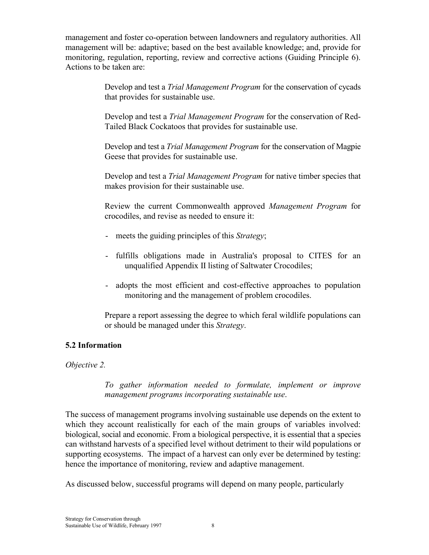management and foster co-operation between landowners and regulatory authorities. All management will be: adaptive; based on the best available knowledge; and, provide for monitoring, regulation, reporting, review and corrective actions (Guiding Principle 6). Actions to be taken are:

> Develop and test a *Trial Management Program* for the conservation of cycads that provides for sustainable use.

> Develop and test a *Trial Management Program* for the conservation of Red-Tailed Black Cockatoos that provides for sustainable use.

> Develop and test a *Trial Management Program* for the conservation of Magpie Geese that provides for sustainable use.

> Develop and test a *Trial Management Program* for native timber species that makes provision for their sustainable use.

> Review the current Commonwealth approved *Management Program* for crocodiles, and revise as needed to ensure it:

- meets the guiding principles of this *Strategy*;
- fulfills obligations made in Australia's proposal to CITES for an unqualified Appendix II listing of Saltwater Crocodiles;
- adopts the most efficient and cost-effective approaches to population monitoring and the management of problem crocodiles.

 Prepare a report assessing the degree to which feral wildlife populations can or should be managed under this *Strategy*.

# **5.2 Information**

*Objective 2.*

*To gather information needed to formulate, implement or improve management programs incorporating sustainable use*.

The success of management programs involving sustainable use depends on the extent to which they account realistically for each of the main groups of variables involved: biological, social and economic. From a biological perspective, it is essential that a species can withstand harvests of a specified level without detriment to their wild populations or supporting ecosystems. The impact of a harvest can only ever be determined by testing: hence the importance of monitoring, review and adaptive management.

As discussed below, successful programs will depend on many people, particularly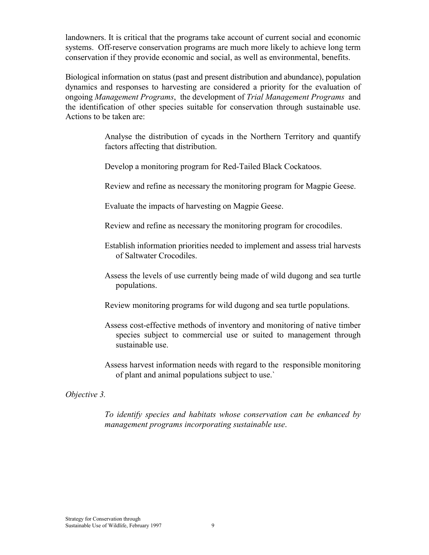landowners. It is critical that the programs take account of current social and economic systems. Off-reserve conservation programs are much more likely to achieve long term conservation if they provide economic and social, as well as environmental, benefits.

Biological information on status (past and present distribution and abundance), population dynamics and responses to harvesting are considered a priority for the evaluation of ongoing *Management Programs*, the development of *Trial Management Programs* and the identification of other species suitable for conservation through sustainable use. Actions to be taken are:

> Analyse the distribution of cycads in the Northern Territory and quantify factors affecting that distribution.

Develop a monitoring program for Red-Tailed Black Cockatoos.

Review and refine as necessary the monitoring program for Magpie Geese.

Evaluate the impacts of harvesting on Magpie Geese.

Review and refine as necessary the monitoring program for crocodiles.

 Establish information priorities needed to implement and assess trial harvests of Saltwater Crocodiles.

 Assess the levels of use currently being made of wild dugong and sea turtle populations.

Review monitoring programs for wild dugong and sea turtle populations.

- Assess cost-effective methods of inventory and monitoring of native timber species subject to commercial use or suited to management through sustainable use.
- Assess harvest information needs with regard to the responsible monitoring of plant and animal populations subject to use.`

#### *Objective 3.*

*To identify species and habitats whose conservation can be enhanced by management programs incorporating sustainable use*.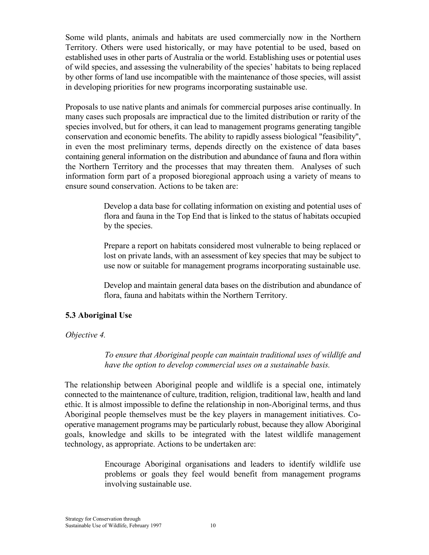Some wild plants, animals and habitats are used commercially now in the Northern Territory. Others were used historically, or may have potential to be used, based on established uses in other parts of Australia or the world. Establishing uses or potential uses of wild species, and assessing the vulnerability of the species' habitats to being replaced by other forms of land use incompatible with the maintenance of those species, will assist in developing priorities for new programs incorporating sustainable use.

Proposals to use native plants and animals for commercial purposes arise continually. In many cases such proposals are impractical due to the limited distribution or rarity of the species involved, but for others, it can lead to management programs generating tangible conservation and economic benefits. The ability to rapidly assess biological "feasibility", in even the most preliminary terms, depends directly on the existence of data bases containing general information on the distribution and abundance of fauna and flora within the Northern Territory and the processes that may threaten them. Analyses of such information form part of a proposed bioregional approach using a variety of means to ensure sound conservation. Actions to be taken are:

> Develop a data base for collating information on existing and potential uses of flora and fauna in the Top End that is linked to the status of habitats occupied by the species.

> Prepare a report on habitats considered most vulnerable to being replaced or lost on private lands, with an assessment of key species that may be subject to use now or suitable for management programs incorporating sustainable use.

> Develop and maintain general data bases on the distribution and abundance of flora, fauna and habitats within the Northern Territory.

#### **5.3 Aboriginal Use**

#### *Objective 4.*

*To ensure that Aboriginal people can maintain traditional uses of wildlife and have the option to develop commercial uses on a sustainable basis.*

The relationship between Aboriginal people and wildlife is a special one, intimately connected to the maintenance of culture, tradition, religion, traditional law, health and land ethic. It is almost impossible to define the relationship in non-Aboriginal terms, and thus Aboriginal people themselves must be the key players in management initiatives. Cooperative management programs may be particularly robust, because they allow Aboriginal goals, knowledge and skills to be integrated with the latest wildlife management technology, as appropriate. Actions to be undertaken are:

> Encourage Aboriginal organisations and leaders to identify wildlife use problems or goals they feel would benefit from management programs involving sustainable use.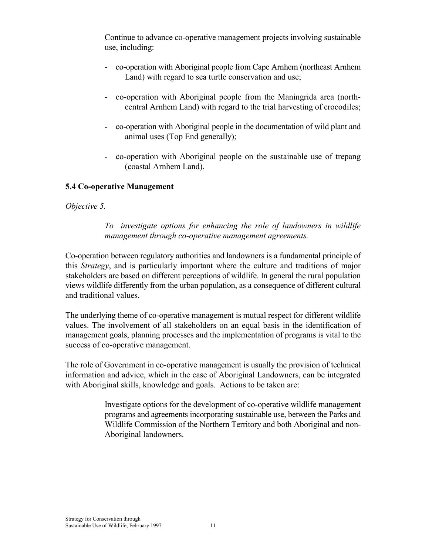Continue to advance co-operative management projects involving sustainable use, including:

- co-operation with Aboriginal people from Cape Arnhem (northeast Arnhem Land) with regard to sea turtle conservation and use;
- co-operation with Aboriginal people from the Maningrida area (northcentral Arnhem Land) with regard to the trial harvesting of crocodiles;
- co-operation with Aboriginal people in the documentation of wild plant and animal uses (Top End generally);
- co-operation with Aboriginal people on the sustainable use of trepang (coastal Arnhem Land).

# **5.4 Co-operative Management**

# *Objective 5.*

 *To investigate options for enhancing the role of landowners in wildlife management through co-operative management agreements.*

Co-operation between regulatory authorities and landowners is a fundamental principle of this *Strategy*, and is particularly important where the culture and traditions of major stakeholders are based on different perceptions of wildlife. In general the rural population views wildlife differently from the urban population, as a consequence of different cultural and traditional values.

The underlying theme of co-operative management is mutual respect for different wildlife values. The involvement of all stakeholders on an equal basis in the identification of management goals, planning processes and the implementation of programs is vital to the success of co-operative management.

The role of Government in co-operative management is usually the provision of technical information and advice, which in the case of Aboriginal Landowners, can be integrated with Aboriginal skills, knowledge and goals. Actions to be taken are:

> Investigate options for the development of co-operative wildlife management programs and agreements incorporating sustainable use, between the Parks and Wildlife Commission of the Northern Territory and both Aboriginal and non-Aboriginal landowners.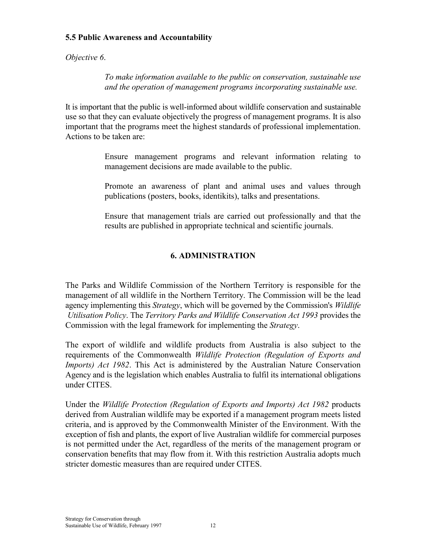## **5.5 Public Awareness and Accountability**

*Objective 6*.

*To make information available to the public on conservation, sustainable use and the operation of management programs incorporating sustainable use.*

It is important that the public is well-informed about wildlife conservation and sustainable use so that they can evaluate objectively the progress of management programs. It is also important that the programs meet the highest standards of professional implementation. Actions to be taken are:

> Ensure management programs and relevant information relating to management decisions are made available to the public.

> Promote an awareness of plant and animal uses and values through publications (posters, books, identikits), talks and presentations.

> Ensure that management trials are carried out professionally and that the results are published in appropriate technical and scientific journals.

# **6. ADMINISTRATION**

The Parks and Wildlife Commission of the Northern Territory is responsible for the management of all wildlife in the Northern Territory. The Commission will be the lead agency implementing this *Strategy*, which will be governed by the Commission's *Wildlife Utilisation Policy*. The *Territory Parks and Wildlife Conservation Act 1993* provides the Commission with the legal framework for implementing the *Strategy*.

The export of wildlife and wildlife products from Australia is also subject to the requirements of the Commonwealth *Wildlife Protection (Regulation of Exports and Imports) Act 1982*. This Act is administered by the Australian Nature Conservation Agency and is the legislation which enables Australia to fulfil its international obligations under CITES.

Under the *Wildlife Protection (Regulation of Exports and Imports) Act 1982* products derived from Australian wildlife may be exported if a management program meets listed criteria, and is approved by the Commonwealth Minister of the Environment. With the exception of fish and plants, the export of live Australian wildlife for commercial purposes is not permitted under the Act, regardless of the merits of the management program or conservation benefits that may flow from it. With this restriction Australia adopts much stricter domestic measures than are required under CITES.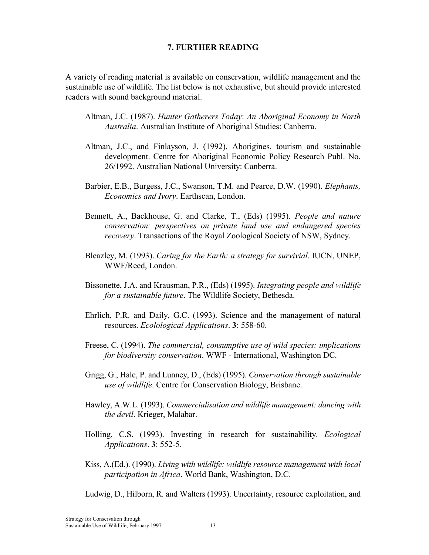#### **7. FURTHER READING**

A variety of reading material is available on conservation, wildlife management and the sustainable use of wildlife. The list below is not exhaustive, but should provide interested readers with sound background material.

- Altman, J.C. (1987). *Hunter Gatherers Today*: *An Aboriginal Economy in North Australia*. Australian Institute of Aboriginal Studies: Canberra.
- Altman, J.C., and Finlayson, J. (1992). Aborigines, tourism and sustainable development. Centre for Aboriginal Economic Policy Research Publ. No. 26/1992. Australian National University: Canberra.
- Barbier, E.B., Burgess, J.C., Swanson, T.M. and Pearce, D.W. (1990). *Elephants, Economics and Ivory*. Earthscan, London.
- Bennett, A., Backhouse, G. and Clarke, T., (Eds) (1995). *People and nature conservation: perspectives on private land use and endangered species recovery*. Transactions of the Royal Zoological Society of NSW, Sydney.
- Bleazley, M. (1993). *Caring for the Earth: a strategy for survivial*. IUCN, UNEP, WWF/Reed, London.
- Bissonette, J.A. and Krausman, P.R., (Eds) (1995). *Integrating people and wildlife for a sustainable future*. The Wildlife Society, Bethesda.
- Ehrlich, P.R. and Daily, G.C. (1993). Science and the management of natural resources. *Ecolological Applications*. **3**: 558-60.
- Freese, C. (1994). *The commercial, consumptive use of wild species: implications for biodiversity conservation*. WWF - International, Washington DC.
- Grigg, G., Hale, P. and Lunney, D., (Eds) (1995). *Conservation through sustainable use of wildlife*. Centre for Conservation Biology, Brisbane.
- Hawley, A.W.L. (1993). *Commercialisation and wildlife management: dancing with the devil*. Krieger, Malabar.
- Holling, C.S. (1993). Investing in research for sustainability. *Ecological Applications*. **3**: 552-5.
- Kiss, A.(Ed.). (1990). *Living with wildlife: wildlife resource management with local participation in Africa*. World Bank, Washington, D.C.

Ludwig, D., Hilborn, R. and Walters (1993). Uncertainty, resource exploitation, and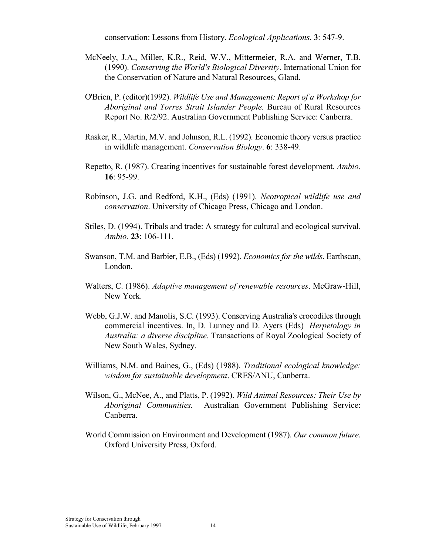conservation: Lessons from History. *Ecological Applications*. **3**: 547-9.

- McNeely, J.A., Miller, K.R., Reid, W.V., Mittermeier, R.A. and Werner, T.B. (1990). *Conserving the World's Biological Diversity*. International Union for the Conservation of Nature and Natural Resources, Gland.
- O'Brien, P. (editor)(1992). *Wildlife Use and Management: Report of a Workshop for Aboriginal and Torres Strait Islander People.* Bureau of Rural Resources Report No. R/2/92. Australian Government Publishing Service: Canberra.
- Rasker, R., Martin, M.V. and Johnson, R.L. (1992). Economic theory versus practice in wildlife management. *Conservation Biology*. **6**: 338-49.
- Repetto, R. (1987). Creating incentives for sustainable forest development. *Ambio*. **16**: 95-99.
- Robinson, J.G. and Redford, K.H., (Eds) (1991). *Neotropical wildlife use and conservation*. University of Chicago Press, Chicago and London.
- Stiles, D. (1994). Tribals and trade: A strategy for cultural and ecological survival. *Ambio*. **23**: 106-111.
- Swanson, T.M. and Barbier, E.B., (Eds) (1992). *Economics for the wilds*. Earthscan, London.
- Walters, C. (1986). *Adaptive management of renewable resources*. McGraw-Hill, New York.
- Webb, G.J.W. and Manolis, S.C. (1993). Conserving Australia's crocodiles through commercial incentives. In, D. Lunney and D. Ayers (Eds) *Herpetology in Australia: a diverse discipline*. Transactions of Royal Zoological Society of New South Wales, Sydney.
- Williams, N.M. and Baines, G., (Eds) (1988). *Traditional ecological knowledge: wisdom for sustainable development*. CRES/ANU, Canberra.
- Wilson, G., McNee, A., and Platts, P. (1992). *Wild Animal Resources: Their Use by Aboriginal Communities.* Australian Government Publishing Service: Canberra.
- World Commission on Environment and Development (1987). *Our common future*. Oxford University Press, Oxford.